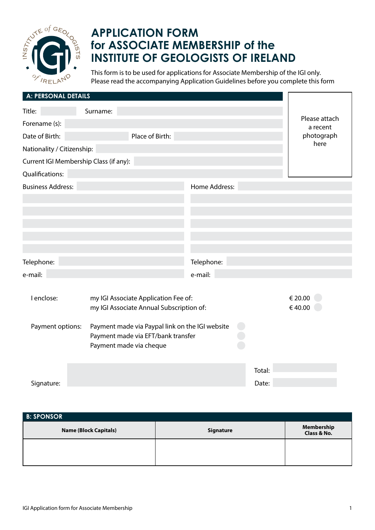

## **APPLICATION FORM for ASSOCIATE MEMBERSHIP of the INSTITUTE OF GEOLOGISTS OF IRELAND**

This form is to be used for applications for Associate Membership of the IGI only. Please read the accompanying Application Guidelines before you complete this form

| A: PERSONAL DETAILS                    |                                                                                                                  |               |        |                           |
|----------------------------------------|------------------------------------------------------------------------------------------------------------------|---------------|--------|---------------------------|
| Title:                                 | Surname:                                                                                                         |               |        |                           |
| Forename (s):                          |                                                                                                                  |               |        | Please attach<br>a recent |
| Date of Birth:                         | Place of Birth:                                                                                                  |               |        | photograph                |
| Nationality / Citizenship:             |                                                                                                                  |               |        | here                      |
| Current IGI Membership Class (if any): |                                                                                                                  |               |        |                           |
| Qualifications:                        |                                                                                                                  |               |        |                           |
| <b>Business Address:</b>               |                                                                                                                  | Home Address: |        |                           |
|                                        |                                                                                                                  |               |        |                           |
|                                        |                                                                                                                  |               |        |                           |
|                                        |                                                                                                                  |               |        |                           |
|                                        |                                                                                                                  |               |        |                           |
|                                        |                                                                                                                  |               |        |                           |
| Telephone:                             |                                                                                                                  | Telephone:    |        |                           |
| e-mail:                                |                                                                                                                  | e-mail:       |        |                           |
|                                        |                                                                                                                  |               |        |                           |
| I enclose:                             | my IGI Associate Application Fee of:                                                                             |               |        | € 20.00                   |
|                                        | my IGI Associate Annual Subscription of:                                                                         |               |        | €40.00                    |
| Payment options:                       | Payment made via Paypal link on the IGI website<br>Payment made via EFT/bank transfer<br>Payment made via cheque |               |        |                           |
|                                        |                                                                                                                  |               | Total: |                           |
| Signature:                             |                                                                                                                  |               | Date:  |                           |

| <b>B: SPONSOR</b>            |           |                           |  |  |  |
|------------------------------|-----------|---------------------------|--|--|--|
| <b>Name (Block Capitals)</b> | Signature | Membership<br>Class & No. |  |  |  |
|                              |           |                           |  |  |  |
|                              |           |                           |  |  |  |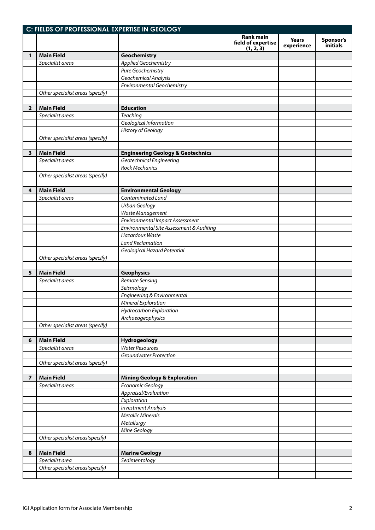|                         | C: FIELDS OF PROFESSIONAL EXPERTISE IN GEOLOGY |                                              |                                                     |                            |                       |  |
|-------------------------|------------------------------------------------|----------------------------------------------|-----------------------------------------------------|----------------------------|-----------------------|--|
|                         |                                                |                                              | <b>Rank main</b><br>field of expertise<br>(1, 2, 3) | <b>Years</b><br>experience | Sponsor's<br>initials |  |
| 1                       | <b>Main Field</b>                              | Geochemistry                                 |                                                     |                            |                       |  |
|                         | Specialist areas                               | <b>Applied Geochemistry</b>                  |                                                     |                            |                       |  |
|                         |                                                | Pure Geochemistry                            |                                                     |                            |                       |  |
|                         |                                                | Geochemical Analysis                         |                                                     |                            |                       |  |
|                         |                                                | <b>Environmental Geochemistry</b>            |                                                     |                            |                       |  |
|                         | Other specialist areas (specify)               |                                              |                                                     |                            |                       |  |
|                         |                                                |                                              |                                                     |                            |                       |  |
| $\overline{2}$          | <b>Main Field</b>                              | <b>Education</b>                             |                                                     |                            |                       |  |
|                         | Specialist areas                               | <b>Teaching</b>                              |                                                     |                            |                       |  |
|                         |                                                | Geological Information                       |                                                     |                            |                       |  |
|                         |                                                | <b>History of Geology</b>                    |                                                     |                            |                       |  |
|                         | Other specialist areas (specify)               |                                              |                                                     |                            |                       |  |
|                         |                                                |                                              |                                                     |                            |                       |  |
| 3                       | <b>Main Field</b>                              | <b>Engineering Geology &amp; Geotechnics</b> |                                                     |                            |                       |  |
|                         | Specialist areas                               | Geotechnical Engineering                     |                                                     |                            |                       |  |
|                         |                                                | <b>Rock Mechanics</b>                        |                                                     |                            |                       |  |
|                         | Other specialist areas (specify)               |                                              |                                                     |                            |                       |  |
|                         |                                                |                                              |                                                     |                            |                       |  |
| 4                       | <b>Main Field</b>                              | <b>Environmental Geology</b>                 |                                                     |                            |                       |  |
|                         | Specialist areas                               | Contaminated Land                            |                                                     |                            |                       |  |
|                         |                                                | <b>Urban Geology</b>                         |                                                     |                            |                       |  |
|                         |                                                | Waste Management                             |                                                     |                            |                       |  |
|                         |                                                | <b>Environmental Impact Assessment</b>       |                                                     |                            |                       |  |
|                         |                                                | Environmental Site Assessment & Auditing     |                                                     |                            |                       |  |
|                         |                                                | <b>Hazardous Waste</b>                       |                                                     |                            |                       |  |
|                         |                                                | <b>Land Reclamation</b>                      |                                                     |                            |                       |  |
|                         |                                                | Geological Hazard Potential                  |                                                     |                            |                       |  |
|                         | Other specialist areas (specify)               |                                              |                                                     |                            |                       |  |
|                         |                                                |                                              |                                                     |                            |                       |  |
| 5                       | <b>Main Field</b>                              | <b>Geophysics</b>                            |                                                     |                            |                       |  |
|                         | Specialist areas                               | Remote Sensing                               |                                                     |                            |                       |  |
|                         |                                                | Seismology                                   |                                                     |                            |                       |  |
|                         |                                                | Engineering & Environmental                  |                                                     |                            |                       |  |
|                         |                                                | Mineral Exploration                          |                                                     |                            |                       |  |
|                         |                                                | Hydrocarbon Exploration                      |                                                     |                            |                       |  |
|                         |                                                | Archaeogeophysics                            |                                                     |                            |                       |  |
|                         | Other specialist areas (specify)               |                                              |                                                     |                            |                       |  |
|                         |                                                |                                              |                                                     |                            |                       |  |
| 6                       | <b>Main Field</b>                              | Hydrogeology                                 |                                                     |                            |                       |  |
|                         | Specialist areas                               | <b>Water Resources</b>                       |                                                     |                            |                       |  |
|                         |                                                | <b>Groundwater Protection</b>                |                                                     |                            |                       |  |
|                         | Other specialist areas (specify)               |                                              |                                                     |                            |                       |  |
|                         |                                                |                                              |                                                     |                            |                       |  |
| $\overline{\mathbf{z}}$ | <b>Main Field</b>                              | <b>Mining Geology &amp; Exploration</b>      |                                                     |                            |                       |  |
|                         | Specialist areas                               | Economic Geology                             |                                                     |                            |                       |  |
|                         |                                                | Appraisal/Evaluation                         |                                                     |                            |                       |  |
|                         |                                                | Exploration                                  |                                                     |                            |                       |  |
|                         |                                                | <b>Investment Analysis</b>                   |                                                     |                            |                       |  |
|                         |                                                | <b>Metallic Minerals</b>                     |                                                     |                            |                       |  |
|                         |                                                | Metallurgy                                   |                                                     |                            |                       |  |
|                         |                                                | Mine Geology                                 |                                                     |                            |                       |  |
|                         | Other specialist areas(specify)                |                                              |                                                     |                            |                       |  |
|                         |                                                |                                              |                                                     |                            |                       |  |
| 8                       | <b>Main Field</b>                              | <b>Marine Geology</b>                        |                                                     |                            |                       |  |
|                         | Specialist area                                | Sedimentology                                |                                                     |                            |                       |  |
|                         | Other specialist areas(specify)                |                                              |                                                     |                            |                       |  |
|                         |                                                |                                              |                                                     |                            |                       |  |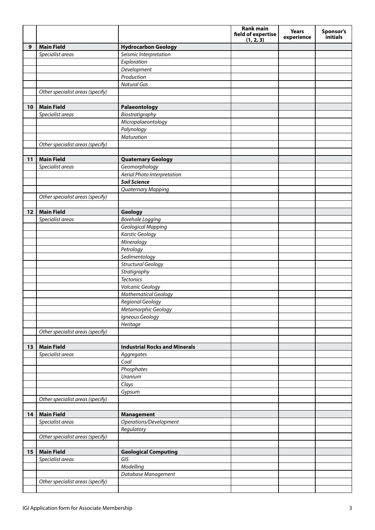|    |                                  |                                      | <b>Rank main</b><br>field of expertise<br>(1, 2, 3) | <b>Years</b><br>experience | Sponsor's<br>initials |
|----|----------------------------------|--------------------------------------|-----------------------------------------------------|----------------------------|-----------------------|
| 9  | <b>Main Field</b>                | <b>Hydrocarbon Geology</b>           |                                                     |                            |                       |
|    | Specialist areas                 | Seismic Interpretation               |                                                     |                            |                       |
|    |                                  | Exploration                          |                                                     |                            |                       |
|    |                                  | Development                          |                                                     |                            |                       |
|    |                                  | Production                           |                                                     |                            |                       |
|    |                                  | <b>Natural Gas</b>                   |                                                     |                            |                       |
|    | Other specialist areas (specify) |                                      |                                                     |                            |                       |
|    |                                  |                                      |                                                     |                            |                       |
| 10 | <b>Main Field</b>                | Palaeontology                        |                                                     |                            |                       |
|    | Specialist areas                 | Biostratigraphy                      |                                                     |                            |                       |
|    |                                  | Micropalaeontology                   |                                                     |                            |                       |
|    |                                  | Palynology                           |                                                     |                            |                       |
|    |                                  | <b>Maturation</b>                    |                                                     |                            |                       |
|    | Other specialist areas (specify) |                                      |                                                     |                            |                       |
|    |                                  |                                      |                                                     |                            |                       |
| 11 | <b>Main Field</b>                | <b>Quaternary Geology</b>            |                                                     |                            |                       |
|    | Specialist areas                 | Geomorphology                        |                                                     |                            |                       |
|    |                                  | Aerial Photo Interpretation          |                                                     |                            |                       |
|    |                                  | <b>Soil Science</b>                  |                                                     |                            |                       |
|    |                                  | <b>Quaternary Mapping</b>            |                                                     |                            |                       |
|    | Other specialist areas (specify) |                                      |                                                     |                            |                       |
|    | <b>Main Field</b>                |                                      |                                                     |                            |                       |
| 12 | Specialist areas                 | Geology<br><b>Borehole Logging</b>   |                                                     |                            |                       |
|    |                                  | Geological Mapping                   |                                                     |                            |                       |
|    |                                  | <b>Karstic Geology</b>               |                                                     |                            |                       |
|    |                                  | Mineralogy                           |                                                     |                            |                       |
|    |                                  | Petrology                            |                                                     |                            |                       |
|    |                                  | Sedimentology                        |                                                     |                            |                       |
|    |                                  | <b>Structural Geology</b>            |                                                     |                            |                       |
|    |                                  | Stratigraphy                         |                                                     |                            |                       |
|    |                                  | <b>Tectonics</b>                     |                                                     |                            |                       |
|    |                                  | Volcanic Geology                     |                                                     |                            |                       |
|    |                                  | <b>Mathematical Geology</b>          |                                                     |                            |                       |
|    |                                  | Regional Geology                     |                                                     |                            |                       |
|    |                                  | Metamorphic Geology                  |                                                     |                            |                       |
|    |                                  | Igneous Geology                      |                                                     |                            |                       |
|    |                                  | Heritage                             |                                                     |                            |                       |
|    | Other specialist areas (specify) |                                      |                                                     |                            |                       |
|    |                                  |                                      |                                                     |                            |                       |
| 13 | <b>Main Field</b>                | <b>Industrial Rocks and Minerals</b> |                                                     |                            |                       |
|    | Specialist areas                 | Aggregates                           |                                                     |                            |                       |
|    |                                  | Coal                                 |                                                     |                            |                       |
|    |                                  | Phosphates                           |                                                     |                            |                       |
|    |                                  | Uranium                              |                                                     |                            |                       |
|    |                                  | Clays                                |                                                     |                            |                       |
|    | Other specialist areas (specify) | Gypsum                               |                                                     |                            |                       |
|    |                                  |                                      |                                                     |                            |                       |
| 14 | <b>Main Field</b>                | <b>Management</b>                    |                                                     |                            |                       |
|    | Specialist areas                 | Operations/Development               |                                                     |                            |                       |
|    |                                  | Regulatory                           |                                                     |                            |                       |
|    | Other specialist areas (specify) |                                      |                                                     |                            |                       |
|    |                                  |                                      |                                                     |                            |                       |
| 15 | <b>Main Field</b>                | <b>Geological Computing</b>          |                                                     |                            |                       |
|    | Specialist areas                 | GIS                                  |                                                     |                            |                       |
|    |                                  | Modelling                            |                                                     |                            |                       |
|    |                                  | Database Management                  |                                                     |                            |                       |
|    | Other specialist areas (specify) |                                      |                                                     |                            |                       |
|    |                                  |                                      |                                                     |                            |                       |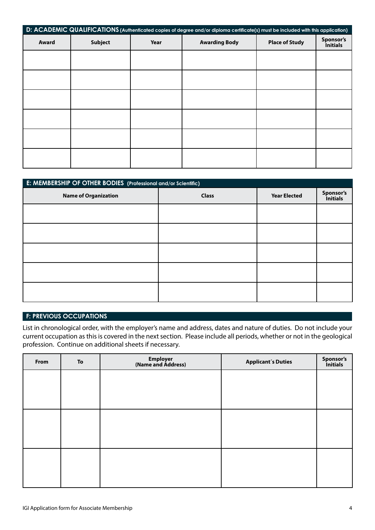| D: ACADEMIC QUALIFICATIONS (Authenticated copies of degree and/or diploma certificate(s) must be included with this application) |                |      |                      |                       |                              |
|----------------------------------------------------------------------------------------------------------------------------------|----------------|------|----------------------|-----------------------|------------------------------|
| Award                                                                                                                            | <b>Subject</b> | Year | <b>Awarding Body</b> | <b>Place of Study</b> | Sponsor's<br><i>initials</i> |
|                                                                                                                                  |                |      |                      |                       |                              |
|                                                                                                                                  |                |      |                      |                       |                              |
|                                                                                                                                  |                |      |                      |                       |                              |
|                                                                                                                                  |                |      |                      |                       |                              |
|                                                                                                                                  |                |      |                      |                       |                              |
|                                                                                                                                  |                |      |                      |                       |                              |

| E: MEMBERSHIP OF OTHER BODIES (Professional and/or Scientific) |              |                     |                       |  |  |
|----------------------------------------------------------------|--------------|---------------------|-----------------------|--|--|
| <b>Name of Organization</b>                                    | <b>Class</b> | <b>Year Elected</b> | Sponsor's<br>Initials |  |  |
|                                                                |              |                     |                       |  |  |
|                                                                |              |                     |                       |  |  |
|                                                                |              |                     |                       |  |  |
|                                                                |              |                     |                       |  |  |
|                                                                |              |                     |                       |  |  |

## **F: PREVIOUS OCCUPATIONS**

List in chronological order, with the employer's name and address, dates and nature of duties. Do not include your current occupation as this is covered in the next section. Please include all periods, whether or not in the geological profession. Continue on additional sheets if necessary.

| From | To | Employer<br>(Name and Address) | <b>Applicant's Duties</b> | Sponsor's<br>Initials |
|------|----|--------------------------------|---------------------------|-----------------------|
|      |    |                                |                           |                       |
|      |    |                                |                           |                       |
|      |    |                                |                           |                       |
|      |    |                                |                           |                       |
|      |    |                                |                           |                       |
|      |    |                                |                           |                       |
|      |    |                                |                           |                       |
|      |    |                                |                           |                       |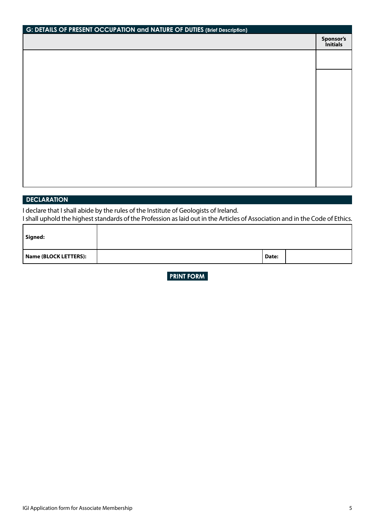| G: DETAILS OF PRESENT OCCUPATION and NATURE OF DUTIES (Brief Description) |                       |  |
|---------------------------------------------------------------------------|-----------------------|--|
|                                                                           | Sponsor's<br>Initials |  |
|                                                                           |                       |  |
|                                                                           |                       |  |
|                                                                           |                       |  |
|                                                                           |                       |  |
|                                                                           |                       |  |
|                                                                           |                       |  |
|                                                                           |                       |  |
|                                                                           |                       |  |
|                                                                           |                       |  |
|                                                                           |                       |  |
|                                                                           |                       |  |
|                                                                           |                       |  |
|                                                                           |                       |  |

## **DECLARATION**

I declare that I shall abide by the rules of the Institute of Geologists of Ireland. I shall uphold the highest standards of the Profession as laid out in the Articles of Association and in the Code of Ethics.

| Signed:               |       |  |
|-----------------------|-------|--|
| Name (BLOCK LETTERS): | Date: |  |

**PRINT FORM** 

٦